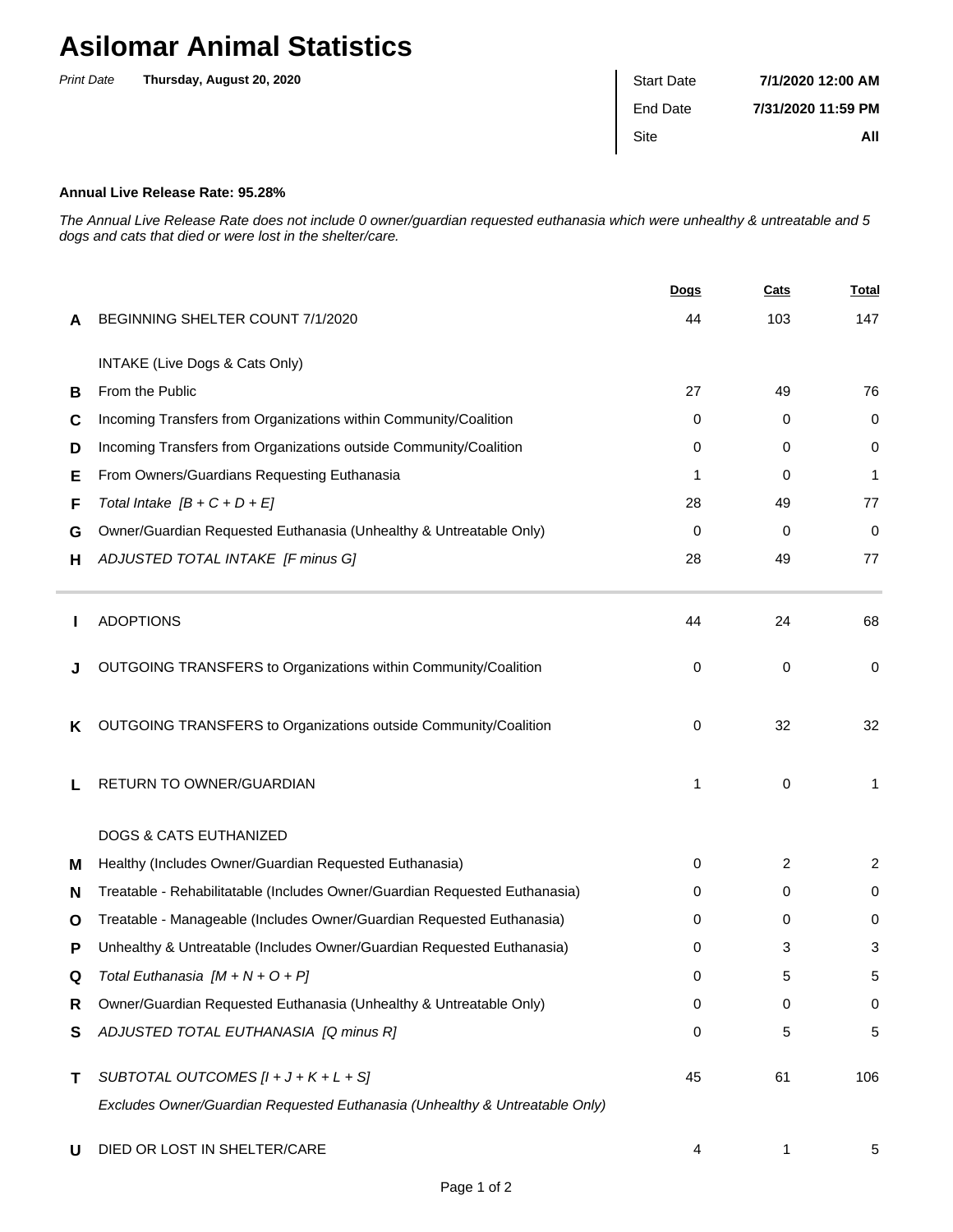## **Asilomar Animal Statistics**

| <b>Print Date</b> | Thursday, August 20, 2020 | <b>Start Date</b> | 7/1/2020 12:00 AM  |
|-------------------|---------------------------|-------------------|--------------------|
|                   |                           | End Date          | 7/31/2020 11:59 PM |
|                   |                           | Site              | All                |
|                   |                           |                   |                    |

## **Annual Live Release Rate: 95.28%**

The Annual Live Release Rate does not include 0 owner/guardian requested euthanasia which were unhealthy & untreatable and 5 dogs and cats that died or were lost in the shelter/care.

|   |                                                                             | <b>Dogs</b> | <b>Cats</b>    | <b>Total</b>   |
|---|-----------------------------------------------------------------------------|-------------|----------------|----------------|
| А | BEGINNING SHELTER COUNT 7/1/2020                                            | 44          | 103            | 147            |
|   | <b>INTAKE (Live Dogs &amp; Cats Only)</b>                                   |             |                |                |
| В | From the Public                                                             | 27          | 49             | 76             |
| C | Incoming Transfers from Organizations within Community/Coalition            | 0           | 0              | $\mathbf 0$    |
| D | Incoming Transfers from Organizations outside Community/Coalition           | 0           | 0              | 0              |
| Е | From Owners/Guardians Requesting Euthanasia                                 | 1           | 0              | 1              |
| F | Total Intake $[B + C + D + E]$                                              | 28          | 49             | 77             |
| G | Owner/Guardian Requested Euthanasia (Unhealthy & Untreatable Only)          | 0           | 0              | $\mathbf 0$    |
| н | ADJUSTED TOTAL INTAKE [F minus G]                                           | 28          | 49             | 77             |
|   | <b>ADOPTIONS</b>                                                            | 44          | 24             | 68             |
| J | OUTGOING TRANSFERS to Organizations within Community/Coalition              | 0           | $\mathbf 0$    | $\mathbf 0$    |
| Κ | OUTGOING TRANSFERS to Organizations outside Community/Coalition             | 0           | 32             | 32             |
|   | RETURN TO OWNER/GUARDIAN                                                    | 1           | 0              | 1              |
|   | <b>DOGS &amp; CATS EUTHANIZED</b>                                           |             |                |                |
| м | Healthy (Includes Owner/Guardian Requested Euthanasia)                      | 0           | $\overline{2}$ | $\overline{2}$ |
| N | Treatable - Rehabilitatable (Includes Owner/Guardian Requested Euthanasia)  | 0           | 0              | 0              |
| O | Treatable - Manageable (Includes Owner/Guardian Requested Euthanasia)       | 0           | 0              | 0              |
| P | Unhealthy & Untreatable (Includes Owner/Guardian Requested Euthanasia)      | 0           | 3              | 3              |
| Q | Total Euthanasia $[M + N + O + P]$                                          | 0           | 5              | 5              |
| R | Owner/Guardian Requested Euthanasia (Unhealthy & Untreatable Only)          | 0           | 0              | 0              |
| S | ADJUSTED TOTAL EUTHANASIA [Q minus R]                                       | 0           | 5              | 5              |
| Т | SUBTOTAL OUTCOMES $[l + J + K + L + S]$                                     | 45          | 61             | 106            |
|   | Excludes Owner/Guardian Requested Euthanasia (Unhealthy & Untreatable Only) |             |                |                |
| U | DIED OR LOST IN SHELTER/CARE                                                | 4           | 1              | 5              |